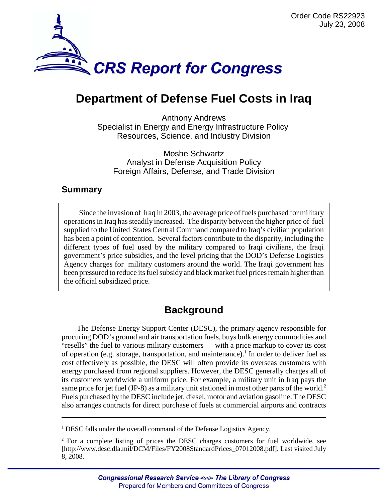

# **Department of Defense Fuel Costs in Iraq**

Anthony Andrews Specialist in Energy and Energy Infrastructure Policy Resources, Science, and Industry Division

Moshe Schwartz Analyst in Defense Acquisition Policy Foreign Affairs, Defense, and Trade Division

## **Summary**

Since the invasion of Iraq in 2003, the average price of fuels purchased for military operations in Iraq has steadily increased. The disparity between the higher price of fuel supplied to the United States Central Command compared to Iraq's civilian population has been a point of contention. Several factors contribute to the disparity, including the different types of fuel used by the military compared to Iraqi civilians, the Iraqi government's price subsidies, and the level pricing that the DOD's Defense Logistics Agency charges for military customers around the world. The Iraqi government has been pressured to reduce its fuel subsidy and black market fuel prices remain higher than the official subsidized price.

## **Background**

The Defense Energy Support Center (DESC), the primary agency responsible for procuring DOD's ground and air transportation fuels, buys bulk energy commodities and "resells" the fuel to various military customers — with a price markup to cover its cost of operation (e.g. storage, transportation, and maintenance).<sup>1</sup> In order to deliver fuel as cost effectively as possible, the DESC will often provide its overseas customers with energy purchased from regional suppliers. However, the DESC generally charges all of its customers worldwide a uniform price. For example, a military unit in Iraq pays the same price for jet fuel (JP-8) as a military unit stationed in most other parts of the world.<sup>2</sup> Fuels purchased by the DESC include jet, diesel, motor and aviation gasoline. The DESC also arranges contracts for direct purchase of fuels at commercial airports and contracts

<sup>1</sup> DESC falls under the overall command of the Defense Logistics Agency.

<sup>&</sup>lt;sup>2</sup> For a complete listing of prices the DESC charges customers for fuel worldwide, see [http://www.desc.dla.mil/DCM/Files/FY2008StandardPrices\_07012008.pdf]. Last visited July 8, 2008.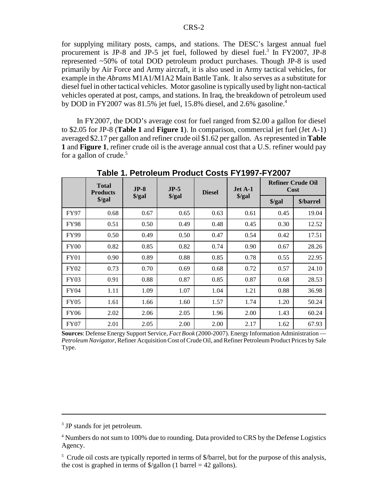for supplying military posts, camps, and stations. The DESC's largest annual fuel procurement is JP-8 and JP-5 jet fuel, followed by diesel fuel.<sup>3</sup> In FY2007, JP-8 represented ~50% of total DOD petroleum product purchases. Though JP-8 is used primarily by Air Force and Army aircraft, it is also used in Army tactical vehicles, for example in the *Abrams* M1A1/M1A2 Main Battle Tank. It also serves as a substitute for diesel fuel in other tactical vehicles. Motor gasoline is typically used by light non-tactical vehicles operated at post, camps, and stations. In Iraq, the breakdown of petroleum used by DOD in FY2007 was  $81.5\%$  jet fuel, 15.8% diesel, and 2.6% gasoline.<sup>4</sup>

In FY2007, the DOD's average cost for fuel ranged from \$2.00 a gallon for diesel to \$2.05 for JP-8 (**Table 1** and **Figure 1**). In comparison, commercial jet fuel (Jet A-1) averaged \$2.17 per gallon and refiner crude oil \$1.62 per gallon. As represented in **Table 1** and **Figure 1**, refiner crude oil is the average annual cost that a U.S. refiner would pay for a gallon of crude. $5$ 

|             | <b>Total</b><br><b>Products</b> | $JP-8$               | $JP-5$               | <b>Diesel</b> | Jet A-1              | <b>Refiner Crude Oil</b><br>Cost |           |  |
|-------------|---------------------------------|----------------------|----------------------|---------------|----------------------|----------------------------------|-----------|--|
|             | $\frac{\sqrt{2}}{2}$            | $\frac{\sqrt{2}}{2}$ | $\frac{\sqrt{2}}{2}$ |               | $\frac{\sqrt{2}}{2}$ | $\frac{\sqrt{2}}{2}$             | \$/barrel |  |
| <b>FY97</b> | 0.68                            | 0.67                 | 0.65                 | 0.63          | 0.61                 | 0.45                             | 19.04     |  |
| <b>FY98</b> | 0.51                            | 0.50                 | 0.49                 | 0.48          | 0.45                 | 0.30                             | 12.52     |  |
| <b>FY99</b> | 0.50                            | 0.49                 | 0.50                 | 0.47          | 0.54                 | 0.42                             | 17.51     |  |
| FY00        | 0.82                            | 0.85                 | 0.82                 | 0.74          | 0.90                 | 0.67                             | 28.26     |  |
| <b>FY01</b> | 0.90                            | 0.89                 | 0.88                 | 0.85          | 0.78                 | 0.55                             | 22.95     |  |
| <b>FY02</b> | 0.73                            | 0.70                 | 0.69                 | 0.68          | 0.72                 | 0.57                             | 24.10     |  |
| <b>FY03</b> | 0.91                            | 0.88                 | 0.87                 | 0.85          | 0.87                 | 0.68                             | 28.53     |  |
| <b>FY04</b> | 1.11                            | 1.09                 | 1.07                 | 1.04          | 1.21                 | 0.88                             | 36.98     |  |
| <b>FY05</b> | 1.61                            | 1.66                 | 1.60                 | 1.57          | 1.74                 | 1.20                             | 50.24     |  |
| <b>FY06</b> | 2.02                            | 2.06                 | 2.05                 | 1.96          | 2.00                 | 1.43                             | 60.24     |  |
| <b>FY07</b> | 2.01                            | 2.05                 | 2.00                 | 2.00          | 2.17                 | 1.62                             | 67.93     |  |

**Table 1. Petroleum Product Costs FY1997-FY2007**

**Sources**: Defense Energy Support Service, *Fact Book* (2000-2007). Energy Information Administration — *Petroleum Navigator*, Refiner Acquisition Cost of Crude Oil, and Refiner Petroleum Product Prices by Sale Type.

<sup>3</sup> JP stands for jet petroleum.

<sup>&</sup>lt;sup>4</sup> Numbers do not sum to 100% due to rounding. Data provided to CRS by the Defense Logistics Agency.

<sup>&</sup>lt;sup>5</sup> Crude oil costs are typically reported in terms of \$/barrel, but for the purpose of this analysis, the cost is graphed in terms of  $\sqrt[6]{\text{gallon}}$  (1 barrel = 42 gallons).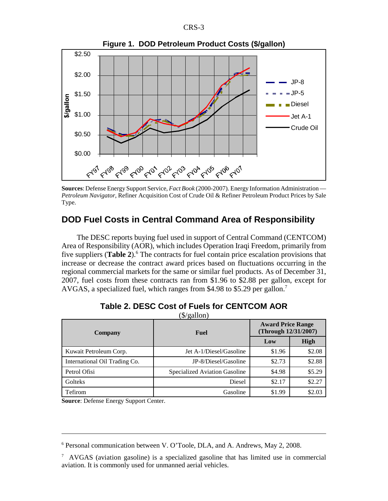



**Sources**: Defense Energy Support Service, *Fact Book* (2000-2007). Energy Information Administration — *Petroleum Navigator*, Refiner Acquisition Cost of Crude Oil & Refiner Petroleum Product Prices by Sale Type.

## **DOD Fuel Costs in Central Command Area of Responsibility**

The DESC reports buying fuel used in support of Central Command (CENTCOM) Area of Responsibility (AOR), which includes Operation Iraqi Freedom, primarily from five suppliers (Table 2).<sup>6</sup> The contracts for fuel contain price escalation provisions that increase or decrease the contract award prices based on fluctuations occurring in the regional commercial markets for the same or similar fuel products. As of December 31, 2007, fuel costs from these contracts ran from \$1.96 to \$2.88 per gallon, except for AVGAS, a specialized fuel, which ranges from \$4.98 to \$5.29 per gallon.<sup>7</sup>

| <b>Company</b>                | Fuel                          | <b>Award Price Range</b><br>(Through 12/31/2007) |             |  |
|-------------------------------|-------------------------------|--------------------------------------------------|-------------|--|
|                               |                               | Low                                              | <b>High</b> |  |
| Kuwait Petroleum Corp.        | Jet A-1/Diesel/Gasoline       | \$1.96                                           | \$2.08      |  |
| International Oil Trading Co. | JP-8/Diesel/Gasoline          | \$2.73                                           | \$2.88      |  |
| Petrol Ofisi                  | Specialized Aviation Gasoline | \$4.98                                           | \$5.29      |  |
| Golteks                       | Diesel                        | \$2.17                                           | \$2.27      |  |
| Tefirom                       | Gasoline                      | \$1.99                                           | \$2.03      |  |

#### **Table 2. DESC Cost of Fuels for CENTCOM AOR**  $(\hat{\mathcal{K}}/\alpha$ allon)

**Source**: Defense Energy Support Center.

<sup>&</sup>lt;sup>6</sup> Personal communication between V. O'Toole, DLA, and A. Andrews, May 2, 2008.

<sup>7</sup> AVGAS (aviation gasoline) is a specialized gasoline that has limited use in commercial aviation. It is commonly used for unmanned aerial vehicles.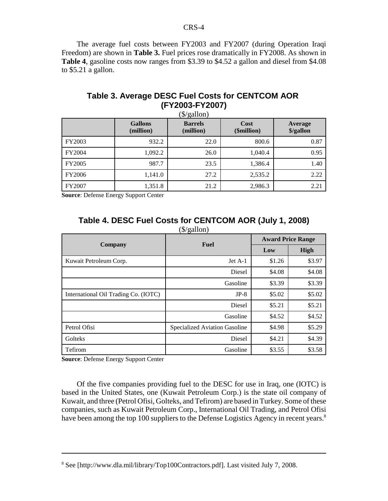The average fuel costs between FY2003 and FY2007 (during Operation Iraqi Freedom) are shown in **Table 3.** Fuel prices rose dramatically in FY2008. As shown in **Table 4**, gasoline costs now ranges from \$3.39 to \$4.52 a gallon and diesel from \$4.08 to \$5.21 a gallon.

## **Table 3. Average DESC Fuel Costs for CENTCOM AOR (FY2003-FY2007)**

|               | <b>Gallons</b><br>(million) | <b>Barrels</b><br>(million) | Cost<br>(\$million) | Average<br>\$/gallon |
|---------------|-----------------------------|-----------------------------|---------------------|----------------------|
| FY2003        | 932.2                       | 22.0                        | 800.6               | 0.87                 |
| <b>FY2004</b> | 1,092.2                     | 26.0                        | 1,040.4             | 0.95                 |
| <b>FY2005</b> | 987.7                       | 23.5                        | 1,386.4             | 1.40                 |
| <b>FY2006</b> | 1,141.0                     | 27.2                        | 2,535.2             | 2.22                 |
| <b>FY2007</b> | 1,351.8                     | 21.2                        | 2,986.3             | 2.21                 |

**Source**: Defense Energy Support Center

### **Table 4. DESC Fuel Costs for CENTCOM AOR (July 1, 2008)** (\$/gallon)

|                                      | <b>Fuel</b>                   | <b>Award Price Range</b> |        |  |
|--------------------------------------|-------------------------------|--------------------------|--------|--|
| Company                              |                               | Low                      | High   |  |
| Kuwait Petroleum Corp.               | Jet A-1                       | \$1.26                   | \$3.97 |  |
|                                      | Diesel                        | \$4.08                   | \$4.08 |  |
|                                      | Gasoline                      | \$3.39                   | \$3.39 |  |
| International Oil Trading Co. (IOTC) | $JP-8$                        | \$5.02                   | \$5.02 |  |
|                                      | Diesel                        | \$5.21                   | \$5.21 |  |
|                                      | Gasoline                      | \$4.52                   | \$4.52 |  |
| Petrol Ofisi                         | Specialized Aviation Gasoline | \$4.98                   | \$5.29 |  |
| Golteks                              | Diesel                        | \$4.21                   | \$4.39 |  |
| Tefirom                              | Gasoline                      | \$3.55                   | \$3.58 |  |

**Source**: Defense Energy Support Center

Of the five companies providing fuel to the DESC for use in Iraq, one (IOTC) is based in the United States, one (Kuwait Petroleum Corp.) is the state oil company of Kuwait, and three (Petrol Ofisi, Golteks, and Tefirom) are based in Turkey. Some of these companies, such as Kuwait Petroleum Corp., International Oil Trading, and Petrol Ofisi have been among the top 100 suppliers to the Defense Logistics Agency in recent years.<sup>8</sup>

<sup>&</sup>lt;sup>8</sup> See [http://www.dla.mil/library/Top100Contractors.pdf]. Last visited July 7, 2008.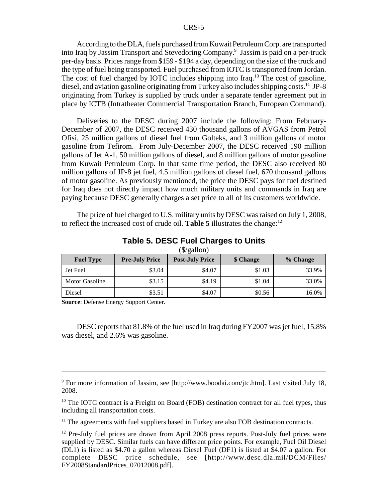According to the DLA, fuels purchased from Kuwait Petroleum Corp. are transported into Iraq by Jassim Transport and Stevedoring Company.<sup>9</sup> Jassim is paid on a per-truck per-day basis. Prices range from \$159 - \$194 a day, depending on the size of the truck and the type of fuel being transported. Fuel purchased from IOTC is transported from Jordan. The cost of fuel charged by IOTC includes shipping into Iraq.<sup>10</sup> The cost of gasoline, diesel, and aviation gasoline originating from Turkey also includes shipping costs.<sup>11</sup> JP-8 originating from Turkey is supplied by truck under a separate tender agreement put in place by ICTB (Intratheater Commercial Transportation Branch, European Command).

Deliveries to the DESC during 2007 include the following: From February-December of 2007, the DESC received 430 thousand gallons of AVGAS from Petrol Ofisi, 25 million gallons of diesel fuel from Golteks, and 3 million gallons of motor gasoline from Tefirom. From July-December 2007, the DESC received 190 million gallons of Jet A-1, 50 million gallons of diesel, and 8 million gallons of motor gasoline from Kuwait Petroleum Corp. In that same time period, the DESC also received 80 million gallons of JP-8 jet fuel, 4.5 million gallons of diesel fuel, 670 thousand gallons of motor gasoline. As previously mentioned, the price the DESC pays for fuel destined for Iraq does not directly impact how much military units and commands in Iraq are paying because DESC generally charges a set price to all of its customers worldwide.

The price of fuel charged to U.S. military units by DESC was raised on July 1, 2008, to reflect the increased cost of crude oil. **Table 5** illustrates the change:12

| <b>Fuel Type</b>      | <b>Pre-July Price</b> | <b>Post-July Price</b> | \$ Change | % Change |  |
|-----------------------|-----------------------|------------------------|-----------|----------|--|
| Jet Fuel              | \$3.04                | \$4.07                 | \$1.03    | 33.9%    |  |
| <b>Motor Gasoline</b> | \$3.15                | \$4.19                 | \$1.04    | 33.0%    |  |
| Diesel                | \$3.51                | \$4.07                 | \$0.56    | 16.0%    |  |

#### **Table 5. DESC Fuel Charges to Units**  $(\hat{\mathbf{x}}/\sigma\mathbf{a}||\mathbf{on})$

**Source**: Defense Energy Support Center.

DESC reports that 81.8% of the fuel used in Iraq during FY2007 was jet fuel, 15.8% was diesel, and 2.6% was gasoline.

9 For more information of Jassim, see [http://www.boodai.com/jtc.htm]. Last visited July 18, 2008.

 $10$  The IOTC contract is a Freight on Board (FOB) destination contract for all fuel types, thus including all transportation costs.

<sup>11</sup> The agreements with fuel suppliers based in Turkey are also FOB destination contracts.

 $12$  Pre-July fuel prices are drawn from April 2008 press reports. Post-July fuel prices were supplied by DESC. Similar fuels can have different price points. For example, Fuel Oil Diesel (DL1) is listed as \$4.70 a gallon whereas Diesel Fuel (DF1) is listed at \$4.07 a gallon. For complete DESC price schedule, see [http://www.desc.dla.mil/DCM/Files/ FY2008StandardPrices\_07012008.pdf].